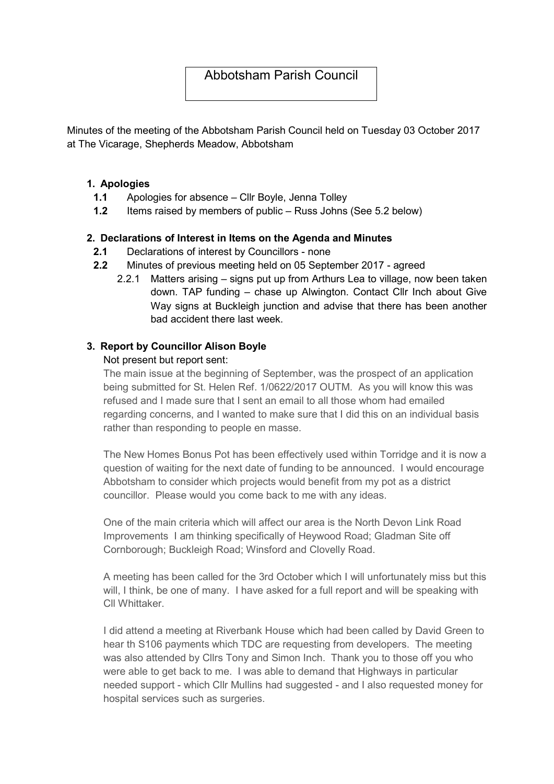# Abbotsham Parish Council

Minutes of the meeting of the Abbotsham Parish Council held on Tuesday 03 October 2017 at The Vicarage, Shepherds Meadow, Abbotsham

#### 1. Apologies

- 1.1 Apologies for absence Cllr Boyle, Jenna Tolley
- 1.2 Items raised by members of public Russ Johns (See 5.2 below)

#### 2. Declarations of Interest in Items on the Agenda and Minutes

- 2.1 Declarations of interest by Councillors none
- 2.2 Minutes of previous meeting held on 05 September 2017 agreed
	- 2.2.1 Matters arising signs put up from Arthurs Lea to village, now been taken down. TAP funding – chase up Alwington. Contact Cllr Inch about Give Way signs at Buckleigh junction and advise that there has been another bad accident there last week.

#### 3. Report by Councillor Alison Boyle

#### Not present but report sent:

The main issue at the beginning of September, was the prospect of an application being submitted for St. Helen Ref. 1/0622/2017 OUTM. As you will know this was refused and I made sure that I sent an email to all those whom had emailed regarding concerns, and I wanted to make sure that I did this on an individual basis rather than responding to people en masse.

The New Homes Bonus Pot has been effectively used within Torridge and it is now a question of waiting for the next date of funding to be announced. I would encourage Abbotsham to consider which projects would benefit from my pot as a district councillor. Please would you come back to me with any ideas.

One of the main criteria which will affect our area is the North Devon Link Road Improvements I am thinking specifically of Heywood Road; Gladman Site off Cornborough; Buckleigh Road; Winsford and Clovelly Road.

A meeting has been called for the 3rd October which I will unfortunately miss but this will, I think, be one of many. I have asked for a full report and will be speaking with Cll Whittaker.

I did attend a meeting at Riverbank House which had been called by David Green to hear th S106 payments which TDC are requesting from developers. The meeting was also attended by Cllrs Tony and Simon Inch. Thank you to those off you who were able to get back to me. I was able to demand that Highways in particular needed support - which Cllr Mullins had suggested - and I also requested money for hospital services such as surgeries.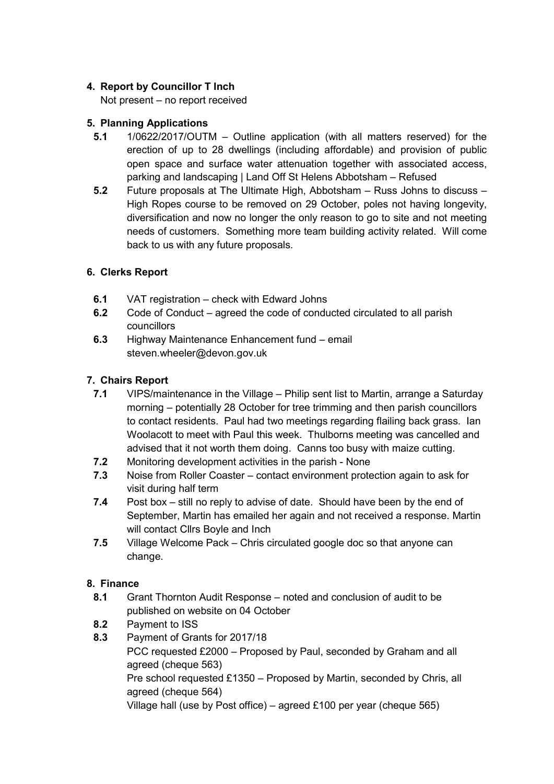# 4. Report by Councillor T Inch

Not present – no report received

# 5. Planning Applications

- 5.1 1/0622/2017/OUTM Outline application (with all matters reserved) for the erection of up to 28 dwellings (including affordable) and provision of public open space and surface water attenuation together with associated access, parking and landscaping | Land Off St Helens Abbotsham – Refused
- 5.2 Future proposals at The Ultimate High, Abbotsham Russ Johns to discuss High Ropes course to be removed on 29 October, poles not having longevity, diversification and now no longer the only reason to go to site and not meeting needs of customers. Something more team building activity related. Will come back to us with any future proposals.

# 6. Clerks Report

- 6.1 VAT registration check with Edward Johns
- 6.2 Code of Conduct agreed the code of conducted circulated to all parish councillors
- 6.3 Highway Maintenance Enhancement fund email steven.wheeler@devon.gov.uk

# 7. Chairs Report

- 7.1 VIPS/maintenance in the Village Philip sent list to Martin, arrange a Saturday morning – potentially 28 October for tree trimming and then parish councillors to contact residents. Paul had two meetings regarding flailing back grass. Ian Woolacott to meet with Paul this week. Thulborns meeting was cancelled and advised that it not worth them doing. Canns too busy with maize cutting.
- 7.2 Monitoring development activities in the parish None
- 7.3 Noise from Roller Coaster contact environment protection again to ask for visit during half term
- 7.4 Post box still no reply to advise of date. Should have been by the end of September, Martin has emailed her again and not received a response. Martin will contact Cllrs Boyle and Inch
- 7.5 Village Welcome Pack Chris circulated google doc so that anyone can change.

### 8. Finance

- 8.1 Grant Thornton Audit Response noted and conclusion of audit to be published on website on 04 October
- 8.2 Payment to ISS
- 8.3 Payment of Grants for 2017/18
	- PCC requested £2000 Proposed by Paul, seconded by Graham and all agreed (cheque 563)

Pre school requested £1350 – Proposed by Martin, seconded by Chris, all agreed (cheque 564)

Village hall (use by Post office) – agreed £100 per year (cheque 565)